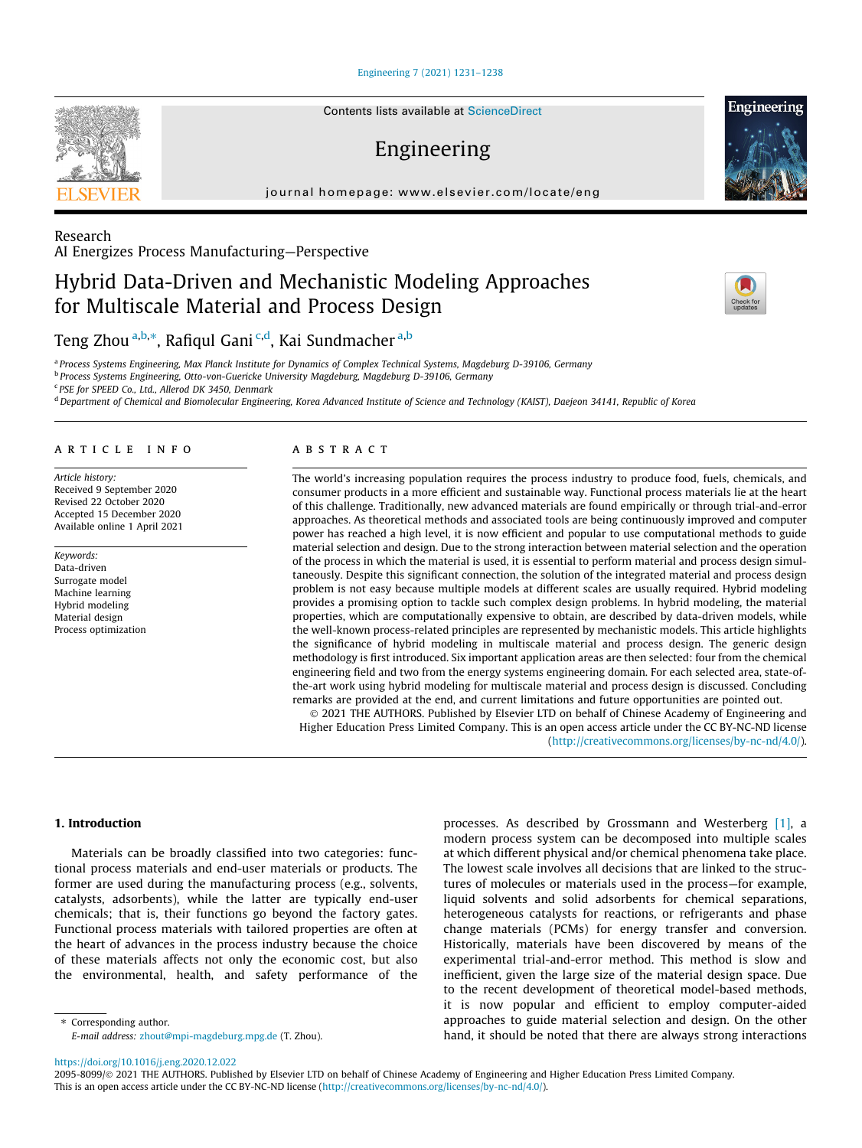[Engineering 7 \(2021\) 1231–1238](https://doi.org/10.1016/j.eng.2020.12.022)

# Engineering

journal homepage: [www.elsevier.com/locate/eng](http://www.elsevier.com/locate/eng)

Research AI Energizes Process Manufacturing—Perspective

# Hybrid Data-Driven and Mechanistic Modeling Approaches for Multiscale Material and Process Design

Teng Zhou <sup>a,b,</sup>\*, Rafiqul Gani <sup>c,d</sup>, Kai Sundmacher <sup>a,b</sup>

<sup>a</sup> Process Systems Engineering, Max Planck Institute for Dynamics of Complex Technical Systems, Magdeburg D-39106, Germany

<sup>b</sup> Process Systems Engineering, Otto-von-Guericke University Magdeburg, Magdeburg D-39106, Germany

<sup>c</sup> PSE for SPEED Co., Ltd., Allerod DK 3450, Denmark

<sup>d</sup> Department of Chemical and Biomolecular Engineering, Korea Advanced Institute of Science and Technology (KAIST), Daejeon 34141, Republic of Korea

# article info

Article history: Received 9 September 2020 Revised 22 October 2020 Accepted 15 December 2020 Available online 1 April 2021

Keywords: Data-driven Surrogate model Machine learning Hybrid modeling Material design Process optimization

## abstract

The world's increasing population requires the process industry to produce food, fuels, chemicals, and consumer products in a more efficient and sustainable way. Functional process materials lie at the heart of this challenge. Traditionally, new advanced materials are found empirically or through trial-and-error approaches. As theoretical methods and associated tools are being continuously improved and computer power has reached a high level, it is now efficient and popular to use computational methods to guide material selection and design. Due to the strong interaction between material selection and the operation of the process in which the material is used, it is essential to perform material and process design simultaneously. Despite this significant connection, the solution of the integrated material and process design problem is not easy because multiple models at different scales are usually required. Hybrid modeling provides a promising option to tackle such complex design problems. In hybrid modeling, the material properties, which are computationally expensive to obtain, are described by data-driven models, while the well-known process-related principles are represented by mechanistic models. This article highlights the significance of hybrid modeling in multiscale material and process design. The generic design methodology is first introduced. Six important application areas are then selected: four from the chemical engineering field and two from the energy systems engineering domain. For each selected area, state-ofthe-art work using hybrid modeling for multiscale material and process design is discussed. Concluding remarks are provided at the end, and current limitations and future opportunities are pointed out.

 2021 THE AUTHORS. Published by Elsevier LTD on behalf of Chinese Academy of Engineering and Higher Education Press Limited Company. This is an open access article under the CC BY-NC-ND license (<http://creativecommons.org/licenses/by-nc-nd/4.0/>).

# 1. Introduction

Materials can be broadly classified into two categories: functional process materials and end-user materials or products. The former are used during the manufacturing process (e.g., solvents, catalysts, adsorbents), while the latter are typically end-user chemicals; that is, their functions go beyond the factory gates. Functional process materials with tailored properties are often at the heart of advances in the process industry because the choice of these materials affects not only the economic cost, but also the environmental, health, and safety performance of the

processes. As described by Grossmann and Westerberg [\[1\]](#page-6-0), a modern process system can be decomposed into multiple scales at which different physical and/or chemical phenomena take place. The lowest scale involves all decisions that are linked to the structures of molecules or materials used in the process—for example, liquid solvents and solid adsorbents for chemical separations, heterogeneous catalysts for reactions, or refrigerants and phase change materials (PCMs) for energy transfer and conversion. Historically, materials have been discovered by means of the experimental trial-and-error method. This method is slow and inefficient, given the large size of the material design space. Due to the recent development of theoretical model-based methods, it is now popular and efficient to employ computer-aided approaches to guide material selection and design. On the other hand, it should be noted that there are always strong interactions

E-mail address: [zhout@mpi-magdeburg.mpg.de](mailto:zhout@mpi-magdeburg.mpg.de) (T. Zhou).

⇑ Corresponding author.







<https://doi.org/10.1016/j.eng.2020.12.022>

<sup>2095-8099/© 2021</sup> THE AUTHORS. Published by Elsevier LTD on behalf of Chinese Academy of Engineering and Higher Education Press Limited Company. This is an open access article under the CC BY-NC-ND license ([http://creativecommons.org/licenses/by-nc-nd/4.0/\)](http://creativecommons.org/licenses/by-nc-nd/4.0/).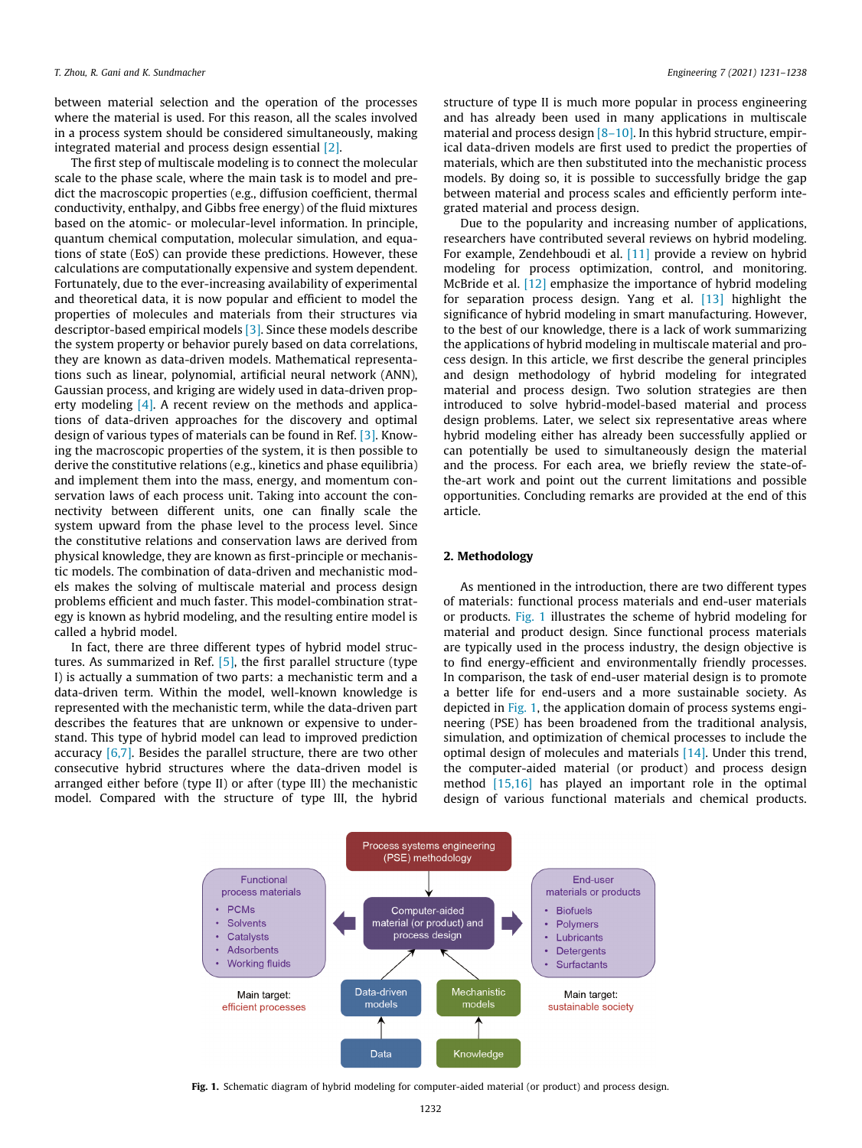between material selection and the operation of the processes where the material is used. For this reason, all the scales involved in a process system should be considered simultaneously, making integrated material and process design essential [\[2\].](#page-6-0)

The first step of multiscale modeling is to connect the molecular scale to the phase scale, where the main task is to model and predict the macroscopic properties (e.g., diffusion coefficient, thermal conductivity, enthalpy, and Gibbs free energy) of the fluid mixtures based on the atomic- or molecular-level information. In principle, quantum chemical computation, molecular simulation, and equations of state (EoS) can provide these predictions. However, these calculations are computationally expensive and system dependent. Fortunately, due to the ever-increasing availability of experimental and theoretical data, it is now popular and efficient to model the properties of molecules and materials from their structures via descriptor-based empirical models [\[3\]](#page-6-0). Since these models describe the system property or behavior purely based on data correlations, they are known as data-driven models. Mathematical representations such as linear, polynomial, artificial neural network (ANN), Gaussian process, and kriging are widely used in data-driven prop-erty modeling [\[4\].](#page-6-0) A recent review on the methods and applications of data-driven approaches for the discovery and optimal design of various types of materials can be found in Ref. [\[3\]](#page-6-0). Knowing the macroscopic properties of the system, it is then possible to derive the constitutive relations (e.g., kinetics and phase equilibria) and implement them into the mass, energy, and momentum conservation laws of each process unit. Taking into account the connectivity between different units, one can finally scale the system upward from the phase level to the process level. Since the constitutive relations and conservation laws are derived from physical knowledge, they are known as first-principle or mechanistic models. The combination of data-driven and mechanistic models makes the solving of multiscale material and process design problems efficient and much faster. This model-combination strategy is known as hybrid modeling, and the resulting entire model is called a hybrid model.

In fact, there are three different types of hybrid model structures. As summarized in Ref. [\[5\],](#page-6-0) the first parallel structure (type I) is actually a summation of two parts: a mechanistic term and a data-driven term. Within the model, well-known knowledge is represented with the mechanistic term, while the data-driven part describes the features that are unknown or expensive to understand. This type of hybrid model can lead to improved prediction accuracy [\[6,7\].](#page-6-0) Besides the parallel structure, there are two other consecutive hybrid structures where the data-driven model is arranged either before (type II) or after (type III) the mechanistic model. Compared with the structure of type III, the hybrid

structure of type II is much more popular in process engineering and has already been used in many applications in multiscale material and process design [\[8–10\].](#page-6-0) In this hybrid structure, empirical data-driven models are first used to predict the properties of materials, which are then substituted into the mechanistic process models. By doing so, it is possible to successfully bridge the gap between material and process scales and efficiently perform integrated material and process design.

Due to the popularity and increasing number of applications, researchers have contributed several reviews on hybrid modeling. For example, Zendehboudi et al. [\[11\]](#page-6-0) provide a review on hybrid modeling for process optimization, control, and monitoring. McBride et al. [\[12\]](#page-6-0) emphasize the importance of hybrid modeling for separation process design. Yang et al. [\[13\]](#page-6-0) highlight the significance of hybrid modeling in smart manufacturing. However, to the best of our knowledge, there is a lack of work summarizing the applications of hybrid modeling in multiscale material and process design. In this article, we first describe the general principles and design methodology of hybrid modeling for integrated material and process design. Two solution strategies are then introduced to solve hybrid-model-based material and process design problems. Later, we select six representative areas where hybrid modeling either has already been successfully applied or can potentially be used to simultaneously design the material and the process. For each area, we briefly review the state-ofthe-art work and point out the current limitations and possible opportunities. Concluding remarks are provided at the end of this article.

#### 2. Methodology

As mentioned in the introduction, there are two different types of materials: functional process materials and end-user materials or products. Fig. 1 illustrates the scheme of hybrid modeling for material and product design. Since functional process materials are typically used in the process industry, the design objective is to find energy-efficient and environmentally friendly processes. In comparison, the task of end-user material design is to promote a better life for end-users and a more sustainable society. As depicted in Fig. 1, the application domain of process systems engineering (PSE) has been broadened from the traditional analysis, simulation, and optimization of chemical processes to include the optimal design of molecules and materials [\[14\].](#page-6-0) Under this trend, the computer-aided material (or product) and process design method [\[15,16\]](#page-6-0) has played an important role in the optimal design of various functional materials and chemical products.



Fig. 1. Schematic diagram of hybrid modeling for computer-aided material (or product) and process design.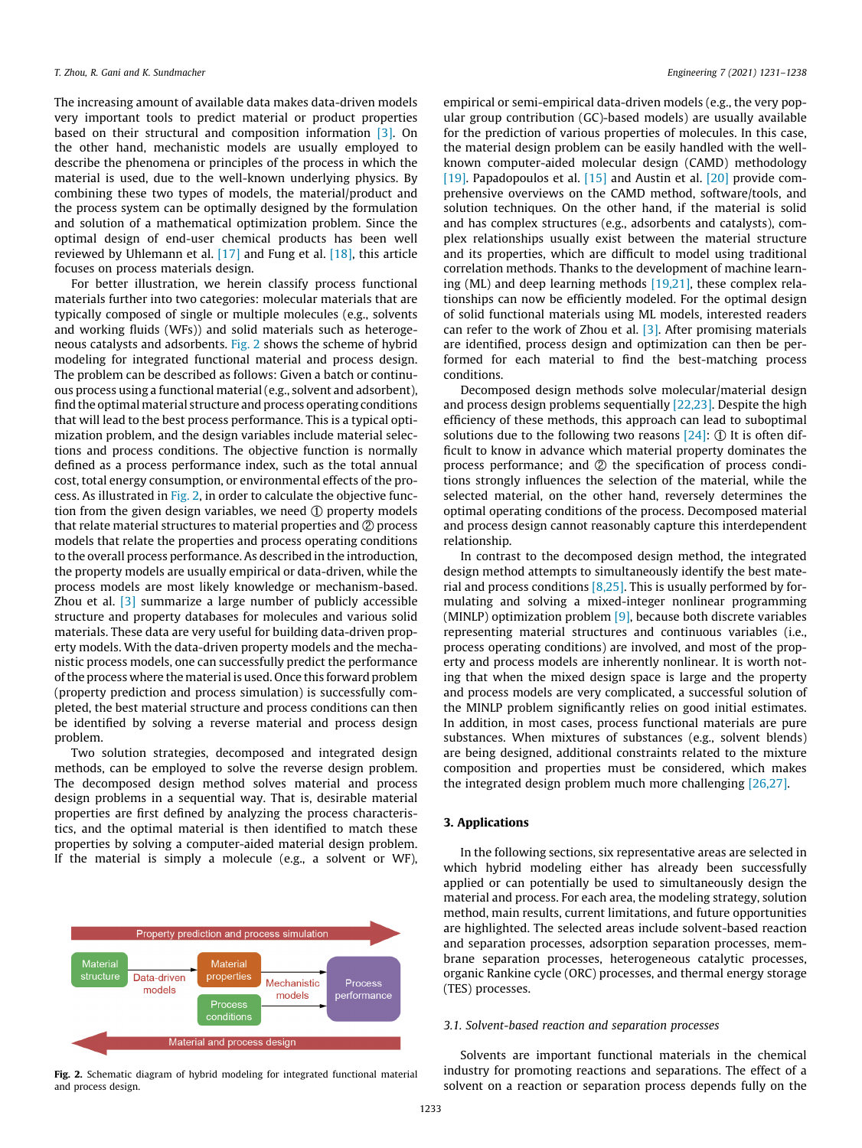The increasing amount of available data makes data-driven models very important tools to predict material or product properties based on their structural and composition information [\[3\]](#page-6-0). On the other hand, mechanistic models are usually employed to describe the phenomena or principles of the process in which the material is used, due to the well-known underlying physics. By combining these two types of models, the material/product and the process system can be optimally designed by the formulation and solution of a mathematical optimization problem. Since the optimal design of end-user chemical products has been well reviewed by Uhlemann et al. [\[17\]](#page-6-0) and Fung et al. [\[18\]](#page-6-0), this article focuses on process materials design.

For better illustration, we herein classify process functional materials further into two categories: molecular materials that are typically composed of single or multiple molecules (e.g., solvents and working fluids (WFs)) and solid materials such as heterogeneous catalysts and adsorbents. Fig. 2 shows the scheme of hybrid modeling for integrated functional material and process design. The problem can be described as follows: Given a batch or continuous process using a functional material (e.g., solvent and adsorbent), find the optimal material structure and process operating conditions that will lead to the best process performance. This is a typical optimization problem, and the design variables include material selections and process conditions. The objective function is normally defined as a process performance index, such as the total annual cost, total energy consumption, or environmental effects of the process. As illustrated in Fig. 2, in order to calculate the objective function from the given design variables, we need ① property models that relate material structures to material properties and ② process models that relate the properties and process operating conditions to the overall process performance. As described in the introduction, the property models are usually empirical or data-driven, while the process models are most likely knowledge or mechanism-based. Zhou et al. [\[3\]](#page-6-0) summarize a large number of publicly accessible structure and property databases for molecules and various solid materials. These data are very useful for building data-driven property models. With the data-driven property models and the mechanistic process models, one can successfully predict the performance of the process where the material is used. Once this forward problem (property prediction and process simulation) is successfully completed, the best material structure and process conditions can then be identified by solving a reverse material and process design problem.

Two solution strategies, decomposed and integrated design methods, can be employed to solve the reverse design problem. The decomposed design method solves material and process design problems in a sequential way. That is, desirable material properties are first defined by analyzing the process characteristics, and the optimal material is then identified to match these properties by solving a computer-aided material design problem. If the material is simply a molecule (e.g., a solvent or WF),



empirical or semi-empirical data-driven models (e.g., the very popular group contribution (GC)-based models) are usually available for the prediction of various properties of molecules. In this case, the material design problem can be easily handled with the wellknown computer-aided molecular design (CAMD) methodology [\[19\]](#page-6-0). Papadopoulos et al. [\[15\]](#page-6-0) and Austin et al. [\[20\]](#page-6-0) provide comprehensive overviews on the CAMD method, software/tools, and solution techniques. On the other hand, if the material is solid and has complex structures (e.g., adsorbents and catalysts), complex relationships usually exist between the material structure and its properties, which are difficult to model using traditional correlation methods. Thanks to the development of machine learning (ML) and deep learning methods [\[19,21\],](#page-6-0) these complex relationships can now be efficiently modeled. For the optimal design of solid functional materials using ML models, interested readers can refer to the work of Zhou et al. [\[3\]](#page-6-0). After promising materials are identified, process design and optimization can then be performed for each material to find the best-matching process conditions.

Decomposed design methods solve molecular/material design and process design problems sequentially [\[22,23\]](#page-6-0). Despite the high efficiency of these methods, this approach can lead to suboptimal solutions due to the following two reasons [\[24\]](#page-6-0): ① It is often difficult to know in advance which material property dominates the process performance; and ② the specification of process conditions strongly influences the selection of the material, while the selected material, on the other hand, reversely determines the optimal operating conditions of the process. Decomposed material and process design cannot reasonably capture this interdependent relationship.

In contrast to the decomposed design method, the integrated design method attempts to simultaneously identify the best material and process conditions  $[8,25]$ . This is usually performed by formulating and solving a mixed-integer nonlinear programming (MINLP) optimization problem [\[9\]](#page-6-0), because both discrete variables representing material structures and continuous variables (i.e., process operating conditions) are involved, and most of the property and process models are inherently nonlinear. It is worth noting that when the mixed design space is large and the property and process models are very complicated, a successful solution of the MINLP problem significantly relies on good initial estimates. In addition, in most cases, process functional materials are pure substances. When mixtures of substances (e.g., solvent blends) are being designed, additional constraints related to the mixture composition and properties must be considered, which makes the integrated design problem much more challenging [\[26,27\]](#page-6-0).

## 3. Applications

In the following sections, six representative areas are selected in which hybrid modeling either has already been successfully applied or can potentially be used to simultaneously design the material and process. For each area, the modeling strategy, solution method, main results, current limitations, and future opportunities are highlighted. The selected areas include solvent-based reaction and separation processes, adsorption separation processes, membrane separation processes, heterogeneous catalytic processes, organic Rankine cycle (ORC) processes, and thermal energy storage (TES) processes.

## 3.1. Solvent-based reaction and separation processes

Solvents are important functional materials in the chemical industry for promoting reactions and separations. The effect of a solvent on a reaction or separation process depends fully on the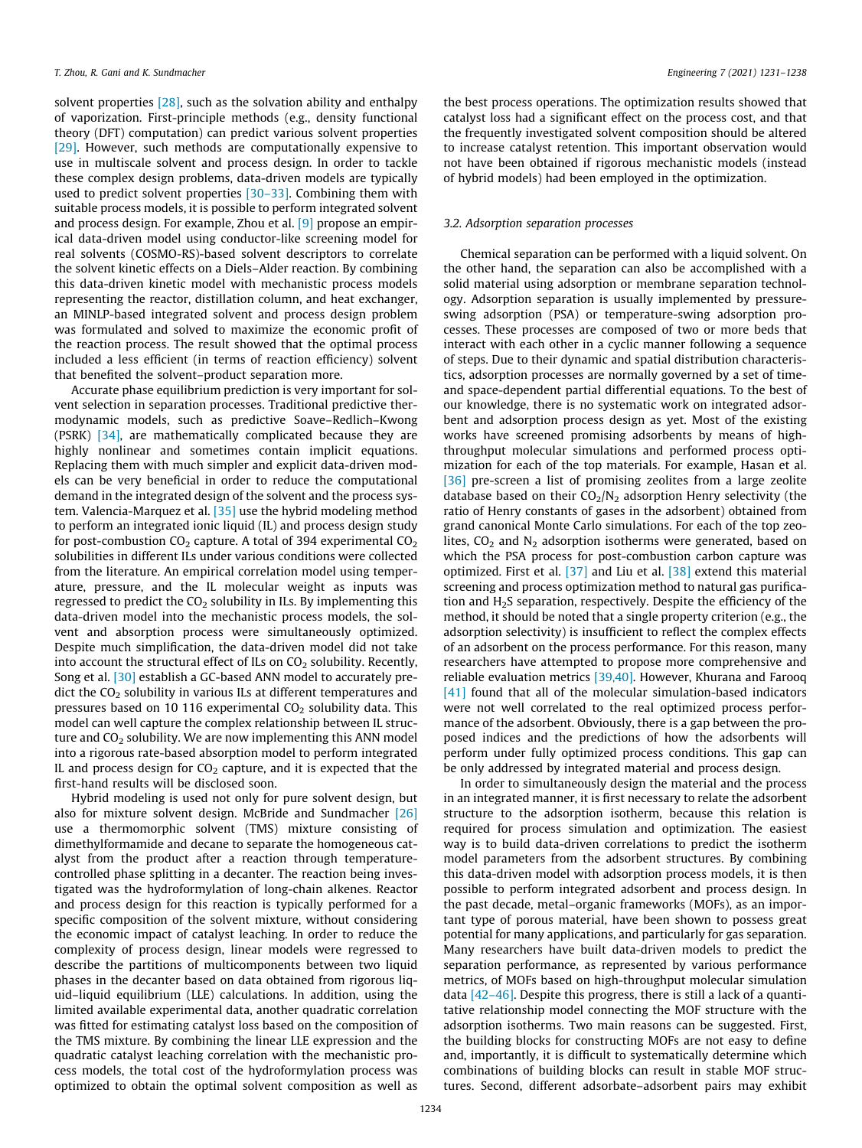solvent properties [\[28\]](#page-6-0), such as the solvation ability and enthalpy of vaporization. First-principle methods (e.g., density functional theory (DFT) computation) can predict various solvent properties [\[29\]](#page-6-0). However, such methods are computationally expensive to use in multiscale solvent and process design. In order to tackle these complex design problems, data-driven models are typically used to predict solvent properties [\[30–33\].](#page-6-0) Combining them with suitable process models, it is possible to perform integrated solvent and process design. For example, Zhou et al. [\[9\]](#page-6-0) propose an empirical data-driven model using conductor-like screening model for real solvents (COSMO-RS)-based solvent descriptors to correlate the solvent kinetic effects on a Diels–Alder reaction. By combining this data-driven kinetic model with mechanistic process models representing the reactor, distillation column, and heat exchanger, an MINLP-based integrated solvent and process design problem was formulated and solved to maximize the economic profit of the reaction process. The result showed that the optimal process included a less efficient (in terms of reaction efficiency) solvent that benefited the solvent–product separation more.

Accurate phase equilibrium prediction is very important for solvent selection in separation processes. Traditional predictive thermodynamic models, such as predictive Soave–Redlich–Kwong (PSRK) [\[34\],](#page-6-0) are mathematically complicated because they are highly nonlinear and sometimes contain implicit equations. Replacing them with much simpler and explicit data-driven models can be very beneficial in order to reduce the computational demand in the integrated design of the solvent and the process system. Valencia-Marquez et al. [\[35\]](#page-6-0) use the hybrid modeling method to perform an integrated ionic liquid (IL) and process design study for post-combustion  $CO<sub>2</sub>$  capture. A total of 394 experimental  $CO<sub>2</sub>$ solubilities in different ILs under various conditions were collected from the literature. An empirical correlation model using temperature, pressure, and the IL molecular weight as inputs was regressed to predict the  $CO<sub>2</sub>$  solubility in ILs. By implementing this data-driven model into the mechanistic process models, the solvent and absorption process were simultaneously optimized. Despite much simplification, the data-driven model did not take into account the structural effect of ILs on  $CO<sub>2</sub>$  solubility. Recently, Song et al. [\[30\]](#page-6-0) establish a GC-based ANN model to accurately predict the  $CO<sub>2</sub>$  solubility in various ILs at different temperatures and pressures based on 10 116 experimental  $CO<sub>2</sub>$  solubility data. This model can well capture the complex relationship between IL structure and  $CO<sub>2</sub>$  solubility. We are now implementing this ANN model into a rigorous rate-based absorption model to perform integrated IL and process design for  $CO<sub>2</sub>$  capture, and it is expected that the first-hand results will be disclosed soon.

Hybrid modeling is used not only for pure solvent design, but also for mixture solvent design. McBride and Sundmacher [\[26\]](#page-6-0) use a thermomorphic solvent (TMS) mixture consisting of dimethylformamide and decane to separate the homogeneous catalyst from the product after a reaction through temperaturecontrolled phase splitting in a decanter. The reaction being investigated was the hydroformylation of long-chain alkenes. Reactor and process design for this reaction is typically performed for a specific composition of the solvent mixture, without considering the economic impact of catalyst leaching. In order to reduce the complexity of process design, linear models were regressed to describe the partitions of multicomponents between two liquid phases in the decanter based on data obtained from rigorous liquid–liquid equilibrium (LLE) calculations. In addition, using the limited available experimental data, another quadratic correlation was fitted for estimating catalyst loss based on the composition of the TMS mixture. By combining the linear LLE expression and the quadratic catalyst leaching correlation with the mechanistic process models, the total cost of the hydroformylation process was optimized to obtain the optimal solvent composition as well as

the best process operations. The optimization results showed that catalyst loss had a significant effect on the process cost, and that the frequently investigated solvent composition should be altered to increase catalyst retention. This important observation would not have been obtained if rigorous mechanistic models (instead of hybrid models) had been employed in the optimization.

#### 3.2. Adsorption separation processes

Chemical separation can be performed with a liquid solvent. On the other hand, the separation can also be accomplished with a solid material using adsorption or membrane separation technology. Adsorption separation is usually implemented by pressureswing adsorption (PSA) or temperature-swing adsorption processes. These processes are composed of two or more beds that interact with each other in a cyclic manner following a sequence of steps. Due to their dynamic and spatial distribution characteristics, adsorption processes are normally governed by a set of timeand space-dependent partial differential equations. To the best of our knowledge, there is no systematic work on integrated adsorbent and adsorption process design as yet. Most of the existing works have screened promising adsorbents by means of highthroughput molecular simulations and performed process optimization for each of the top materials. For example, Hasan et al. [\[36\]](#page-6-0) pre-screen a list of promising zeolites from a large zeolite database based on their  $CO<sub>2</sub>/N<sub>2</sub>$  adsorption Henry selectivity (the ratio of Henry constants of gases in the adsorbent) obtained from grand canonical Monte Carlo simulations. For each of the top zeolites,  $CO<sub>2</sub>$  and N<sub>2</sub> adsorption isotherms were generated, based on which the PSA process for post-combustion carbon capture was optimized. First et al. [\[37\]](#page-6-0) and Liu et al. [\[38\]](#page-6-0) extend this material screening and process optimization method to natural gas purification and H2S separation, respectively. Despite the efficiency of the method, it should be noted that a single property criterion (e.g., the adsorption selectivity) is insufficient to reflect the complex effects of an adsorbent on the process performance. For this reason, many researchers have attempted to propose more comprehensive and reliable evaluation metrics [\[39,40\]](#page-6-0). However, Khurana and Farooq [\[41\]](#page-6-0) found that all of the molecular simulation-based indicators were not well correlated to the real optimized process performance of the adsorbent. Obviously, there is a gap between the proposed indices and the predictions of how the adsorbents will perform under fully optimized process conditions. This gap can be only addressed by integrated material and process design.

In order to simultaneously design the material and the process in an integrated manner, it is first necessary to relate the adsorbent structure to the adsorption isotherm, because this relation is required for process simulation and optimization. The easiest way is to build data-driven correlations to predict the isotherm model parameters from the adsorbent structures. By combining this data-driven model with adsorption process models, it is then possible to perform integrated adsorbent and process design. In the past decade, metal–organic frameworks (MOFs), as an important type of porous material, have been shown to possess great potential for many applications, and particularly for gas separation. Many researchers have built data-driven models to predict the separation performance, as represented by various performance metrics, of MOFs based on high-throughput molecular simulation data  $[42-46]$ . Despite this progress, there is still a lack of a quantitative relationship model connecting the MOF structure with the adsorption isotherms. Two main reasons can be suggested. First, the building blocks for constructing MOFs are not easy to define and, importantly, it is difficult to systematically determine which combinations of building blocks can result in stable MOF structures. Second, different adsorbate–adsorbent pairs may exhibit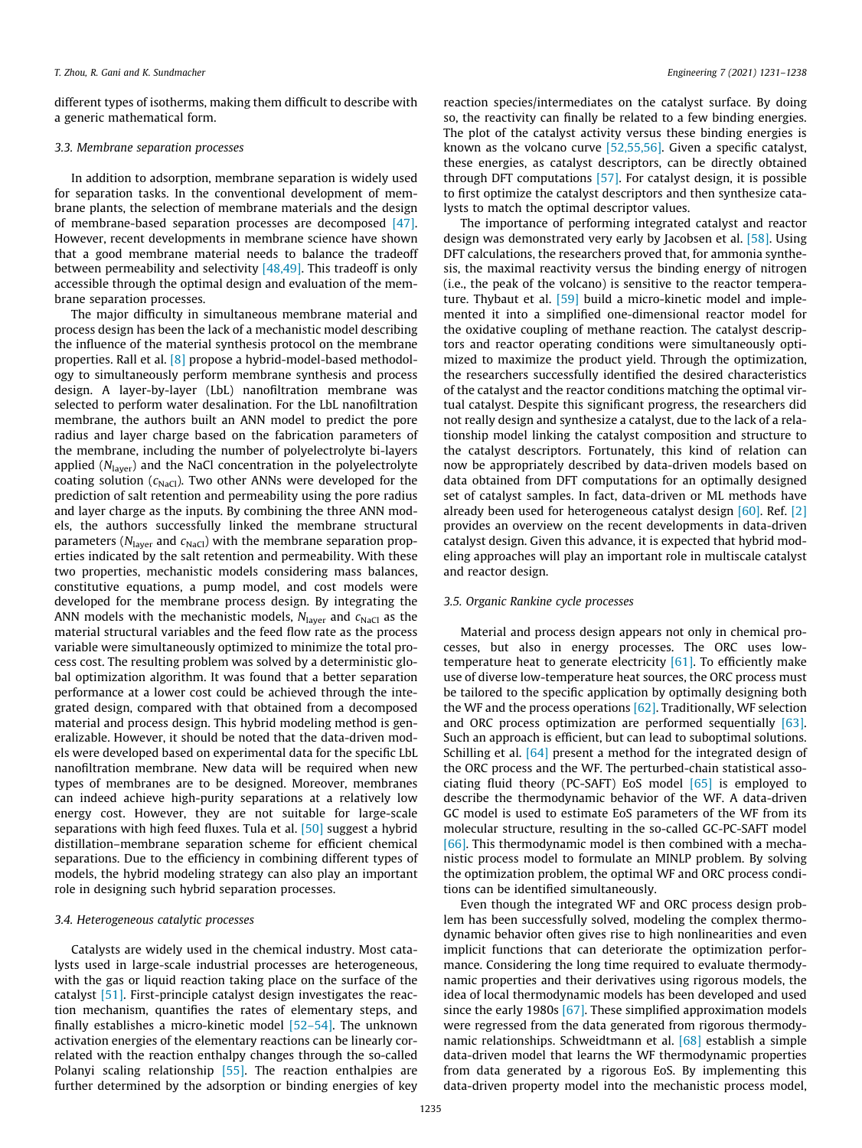different types of isotherms, making them difficult to describe with a generic mathematical form.

#### 3.3. Membrane separation processes

In addition to adsorption, membrane separation is widely used for separation tasks. In the conventional development of membrane plants, the selection of membrane materials and the design of membrane-based separation processes are decomposed [\[47\].](#page-6-0) However, recent developments in membrane science have shown that a good membrane material needs to balance the tradeoff between permeability and selectivity  $[48,49]$ . This tradeoff is only accessible through the optimal design and evaluation of the membrane separation processes.

The major difficulty in simultaneous membrane material and process design has been the lack of a mechanistic model describing the influence of the material synthesis protocol on the membrane properties. Rall et al. [\[8\]](#page-6-0) propose a hybrid-model-based methodology to simultaneously perform membrane synthesis and process design. A layer-by-layer (LbL) nanofiltration membrane was selected to perform water desalination. For the LbL nanofiltration membrane, the authors built an ANN model to predict the pore radius and layer charge based on the fabrication parameters of the membrane, including the number of polyelectrolyte bi-layers applied  $(N<sub>layer</sub>)$  and the NaCl concentration in the polyelectrolyte coating solution ( $c_{\text{NaCl}}$ ). Two other ANNs were developed for the prediction of salt retention and permeability using the pore radius and layer charge as the inputs. By combining the three ANN models, the authors successfully linked the membrane structural parameters ( $N<sub>layer</sub>$  and  $c<sub>NaCl</sub>$ ) with the membrane separation properties indicated by the salt retention and permeability. With these two properties, mechanistic models considering mass balances, constitutive equations, a pump model, and cost models were developed for the membrane process design. By integrating the ANN models with the mechanistic models,  $N_{\text{layer}}$  and  $c_{\text{NaCl}}$  as the material structural variables and the feed flow rate as the process variable were simultaneously optimized to minimize the total process cost. The resulting problem was solved by a deterministic global optimization algorithm. It was found that a better separation performance at a lower cost could be achieved through the integrated design, compared with that obtained from a decomposed material and process design. This hybrid modeling method is generalizable. However, it should be noted that the data-driven models were developed based on experimental data for the specific LbL nanofiltration membrane. New data will be required when new types of membranes are to be designed. Moreover, membranes can indeed achieve high-purity separations at a relatively low energy cost. However, they are not suitable for large-scale separations with high feed fluxes. Tula et al. [\[50\]](#page-6-0) suggest a hybrid distillation–membrane separation scheme for efficient chemical separations. Due to the efficiency in combining different types of models, the hybrid modeling strategy can also play an important role in designing such hybrid separation processes.

## 3.4. Heterogeneous catalytic processes

Catalysts are widely used in the chemical industry. Most catalysts used in large-scale industrial processes are heterogeneous, with the gas or liquid reaction taking place on the surface of the catalyst [\[51\]](#page-6-0). First-principle catalyst design investigates the reaction mechanism, quantifies the rates of elementary steps, and finally establishes a micro-kinetic model [\[52–54\].](#page-6-0) The unknown activation energies of the elementary reactions can be linearly correlated with the reaction enthalpy changes through the so-called Polanyi scaling relationship [\[55\].](#page-7-0) The reaction enthalpies are further determined by the adsorption or binding energies of key

reaction species/intermediates on the catalyst surface. By doing so, the reactivity can finally be related to a few binding energies. The plot of the catalyst activity versus these binding energies is known as the volcano curve [\[52,55,56\]](#page-6-0). Given a specific catalyst, these energies, as catalyst descriptors, can be directly obtained through DFT computations [\[57\].](#page-7-0) For catalyst design, it is possible to first optimize the catalyst descriptors and then synthesize catalysts to match the optimal descriptor values.

The importance of performing integrated catalyst and reactor design was demonstrated very early by Jacobsen et al. [\[58\].](#page-7-0) Using DFT calculations, the researchers proved that, for ammonia synthesis, the maximal reactivity versus the binding energy of nitrogen (i.e., the peak of the volcano) is sensitive to the reactor temperature. Thybaut et al. [\[59\]](#page-7-0) build a micro-kinetic model and implemented it into a simplified one-dimensional reactor model for the oxidative coupling of methane reaction. The catalyst descriptors and reactor operating conditions were simultaneously optimized to maximize the product yield. Through the optimization, the researchers successfully identified the desired characteristics of the catalyst and the reactor conditions matching the optimal virtual catalyst. Despite this significant progress, the researchers did not really design and synthesize a catalyst, due to the lack of a relationship model linking the catalyst composition and structure to the catalyst descriptors. Fortunately, this kind of relation can now be appropriately described by data-driven models based on data obtained from DFT computations for an optimally designed set of catalyst samples. In fact, data-driven or ML methods have already been used for heterogeneous catalyst design  $[60]$ . Ref.  $[2]$ provides an overview on the recent developments in data-driven catalyst design. Given this advance, it is expected that hybrid modeling approaches will play an important role in multiscale catalyst and reactor design.

## 3.5. Organic Rankine cycle processes

Material and process design appears not only in chemical processes, but also in energy processes. The ORC uses lowtemperature heat to generate electricity  $[61]$ . To efficiently make use of diverse low-temperature heat sources, the ORC process must be tailored to the specific application by optimally designing both the WF and the process operations [\[62\]](#page-7-0). Traditionally, WF selection and ORC process optimization are performed sequentially [\[63\].](#page-7-0) Such an approach is efficient, but can lead to suboptimal solutions. Schilling et al. [\[64\]](#page-7-0) present a method for the integrated design of the ORC process and the WF. The perturbed-chain statistical associating fluid theory (PC-SAFT) EoS model  $[65]$  is employed to describe the thermodynamic behavior of the WF. A data-driven GC model is used to estimate EoS parameters of the WF from its molecular structure, resulting in the so-called GC-PC-SAFT model  $[66]$ . This thermodynamic model is then combined with a mechanistic process model to formulate an MINLP problem. By solving the optimization problem, the optimal WF and ORC process conditions can be identified simultaneously.

Even though the integrated WF and ORC process design problem has been successfully solved, modeling the complex thermodynamic behavior often gives rise to high nonlinearities and even implicit functions that can deteriorate the optimization performance. Considering the long time required to evaluate thermodynamic properties and their derivatives using rigorous models, the idea of local thermodynamic models has been developed and used since the early 1980s [\[67\]](#page-7-0). These simplified approximation models were regressed from the data generated from rigorous thermodynamic relationships. Schweidtmann et al. [\[68\]](#page-7-0) establish a simple data-driven model that learns the WF thermodynamic properties from data generated by a rigorous EoS. By implementing this data-driven property model into the mechanistic process model,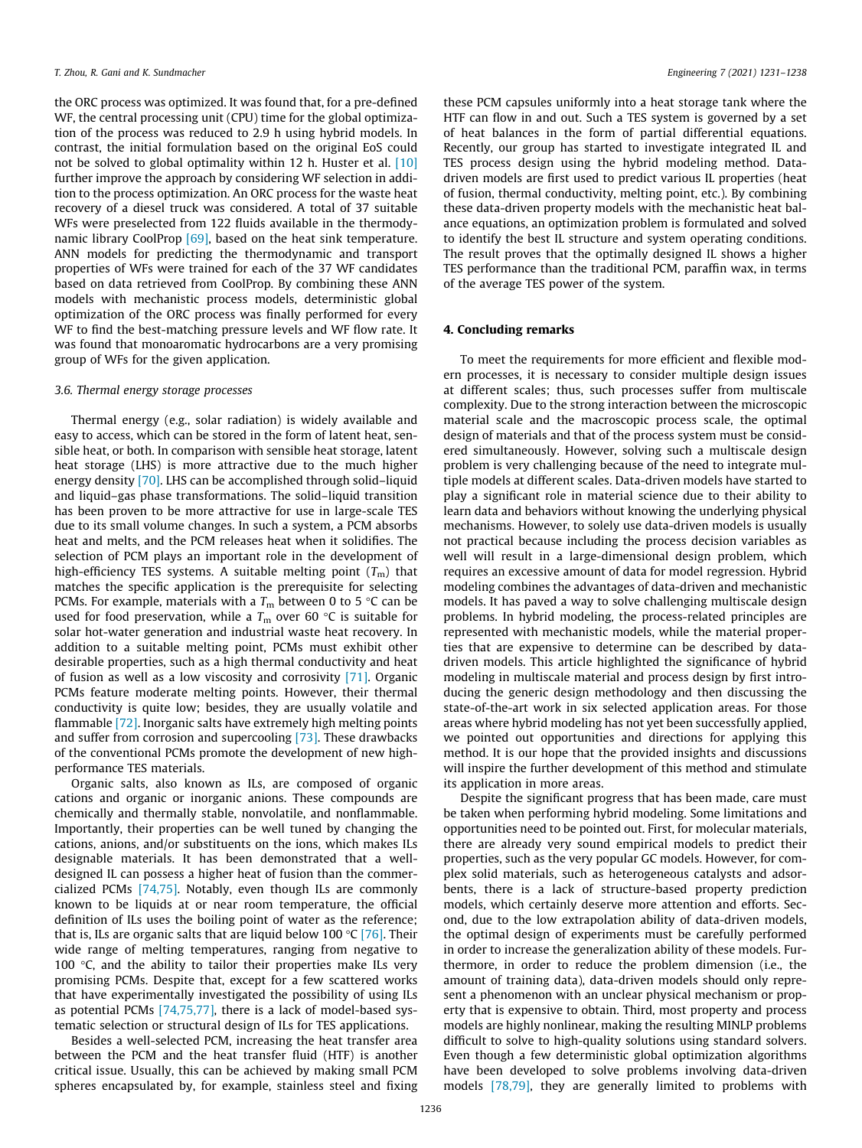the ORC process was optimized. It was found that, for a pre-defined WF, the central processing unit (CPU) time for the global optimization of the process was reduced to 2.9 h using hybrid models. In contrast, the initial formulation based on the original EoS could not be solved to global optimality within 12 h. Huster et al. [\[10\]](#page-6-0) further improve the approach by considering WF selection in addition to the process optimization. An ORC process for the waste heat recovery of a diesel truck was considered. A total of 37 suitable WFs were preselected from 122 fluids available in the thermody-namic library CoolProp [\[69\]](#page-7-0), based on the heat sink temperature. ANN models for predicting the thermodynamic and transport properties of WFs were trained for each of the 37 WF candidates based on data retrieved from CoolProp. By combining these ANN models with mechanistic process models, deterministic global optimization of the ORC process was finally performed for every WF to find the best-matching pressure levels and WF flow rate. It was found that monoaromatic hydrocarbons are a very promising group of WFs for the given application.

## 3.6. Thermal energy storage processes

Thermal energy (e.g., solar radiation) is widely available and easy to access, which can be stored in the form of latent heat, sensible heat, or both. In comparison with sensible heat storage, latent heat storage (LHS) is more attractive due to the much higher energy density [\[70\].](#page-7-0) LHS can be accomplished through solid–liquid and liquid–gas phase transformations. The solid–liquid transition has been proven to be more attractive for use in large-scale TES due to its small volume changes. In such a system, a PCM absorbs heat and melts, and the PCM releases heat when it solidifies. The selection of PCM plays an important role in the development of high-efficiency TES systems. A suitable melting point  $(T_m)$  that matches the specific application is the prerequisite for selecting PCMs. For example, materials with a  $T_{\rm m}$  between 0 to 5 °C can be used for food preservation, while a  $T_m$  over 60 °C is suitable for solar hot-water generation and industrial waste heat recovery. In addition to a suitable melting point, PCMs must exhibit other desirable properties, such as a high thermal conductivity and heat of fusion as well as a low viscosity and corrosivity [\[71\]](#page-7-0). Organic PCMs feature moderate melting points. However, their thermal conductivity is quite low; besides, they are usually volatile and flammable [\[72\]](#page-7-0). Inorganic salts have extremely high melting points and suffer from corrosion and supercooling [\[73\].](#page-7-0) These drawbacks of the conventional PCMs promote the development of new highperformance TES materials.

Organic salts, also known as ILs, are composed of organic cations and organic or inorganic anions. These compounds are chemically and thermally stable, nonvolatile, and nonflammable. Importantly, their properties can be well tuned by changing the cations, anions, and/or substituents on the ions, which makes ILs designable materials. It has been demonstrated that a welldesigned IL can possess a higher heat of fusion than the commercialized PCMs [\[74,75\].](#page-7-0) Notably, even though ILs are commonly known to be liquids at or near room temperature, the official definition of ILs uses the boiling point of water as the reference; that is, ILs are organic salts that are liquid below 100  $\degree$ C [\[76\].](#page-7-0) Their wide range of melting temperatures, ranging from negative to 100  $\degree$ C, and the ability to tailor their properties make ILs very promising PCMs. Despite that, except for a few scattered works that have experimentally investigated the possibility of using ILs as potential PCMs [\[74,75,77\]](#page-7-0), there is a lack of model-based systematic selection or structural design of ILs for TES applications.

Besides a well-selected PCM, increasing the heat transfer area between the PCM and the heat transfer fluid (HTF) is another critical issue. Usually, this can be achieved by making small PCM spheres encapsulated by, for example, stainless steel and fixing

these PCM capsules uniformly into a heat storage tank where the HTF can flow in and out. Such a TES system is governed by a set of heat balances in the form of partial differential equations. Recently, our group has started to investigate integrated IL and TES process design using the hybrid modeling method. Datadriven models are first used to predict various IL properties (heat of fusion, thermal conductivity, melting point, etc.). By combining these data-driven property models with the mechanistic heat balance equations, an optimization problem is formulated and solved to identify the best IL structure and system operating conditions. The result proves that the optimally designed IL shows a higher TES performance than the traditional PCM, paraffin wax, in terms of the average TES power of the system.

## 4. Concluding remarks

To meet the requirements for more efficient and flexible modern processes, it is necessary to consider multiple design issues at different scales; thus, such processes suffer from multiscale complexity. Due to the strong interaction between the microscopic material scale and the macroscopic process scale, the optimal design of materials and that of the process system must be considered simultaneously. However, solving such a multiscale design problem is very challenging because of the need to integrate multiple models at different scales. Data-driven models have started to play a significant role in material science due to their ability to learn data and behaviors without knowing the underlying physical mechanisms. However, to solely use data-driven models is usually not practical because including the process decision variables as well will result in a large-dimensional design problem, which requires an excessive amount of data for model regression. Hybrid modeling combines the advantages of data-driven and mechanistic models. It has paved a way to solve challenging multiscale design problems. In hybrid modeling, the process-related principles are represented with mechanistic models, while the material properties that are expensive to determine can be described by datadriven models. This article highlighted the significance of hybrid modeling in multiscale material and process design by first introducing the generic design methodology and then discussing the state-of-the-art work in six selected application areas. For those areas where hybrid modeling has not yet been successfully applied, we pointed out opportunities and directions for applying this method. It is our hope that the provided insights and discussions will inspire the further development of this method and stimulate its application in more areas.

Despite the significant progress that has been made, care must be taken when performing hybrid modeling. Some limitations and opportunities need to be pointed out. First, for molecular materials, there are already very sound empirical models to predict their properties, such as the very popular GC models. However, for complex solid materials, such as heterogeneous catalysts and adsorbents, there is a lack of structure-based property prediction models, which certainly deserve more attention and efforts. Second, due to the low extrapolation ability of data-driven models, the optimal design of experiments must be carefully performed in order to increase the generalization ability of these models. Furthermore, in order to reduce the problem dimension (i.e., the amount of training data), data-driven models should only represent a phenomenon with an unclear physical mechanism or property that is expensive to obtain. Third, most property and process models are highly nonlinear, making the resulting MINLP problems difficult to solve to high-quality solutions using standard solvers. Even though a few deterministic global optimization algorithms have been developed to solve problems involving data-driven models [\[78,79\]](#page-7-0), they are generally limited to problems with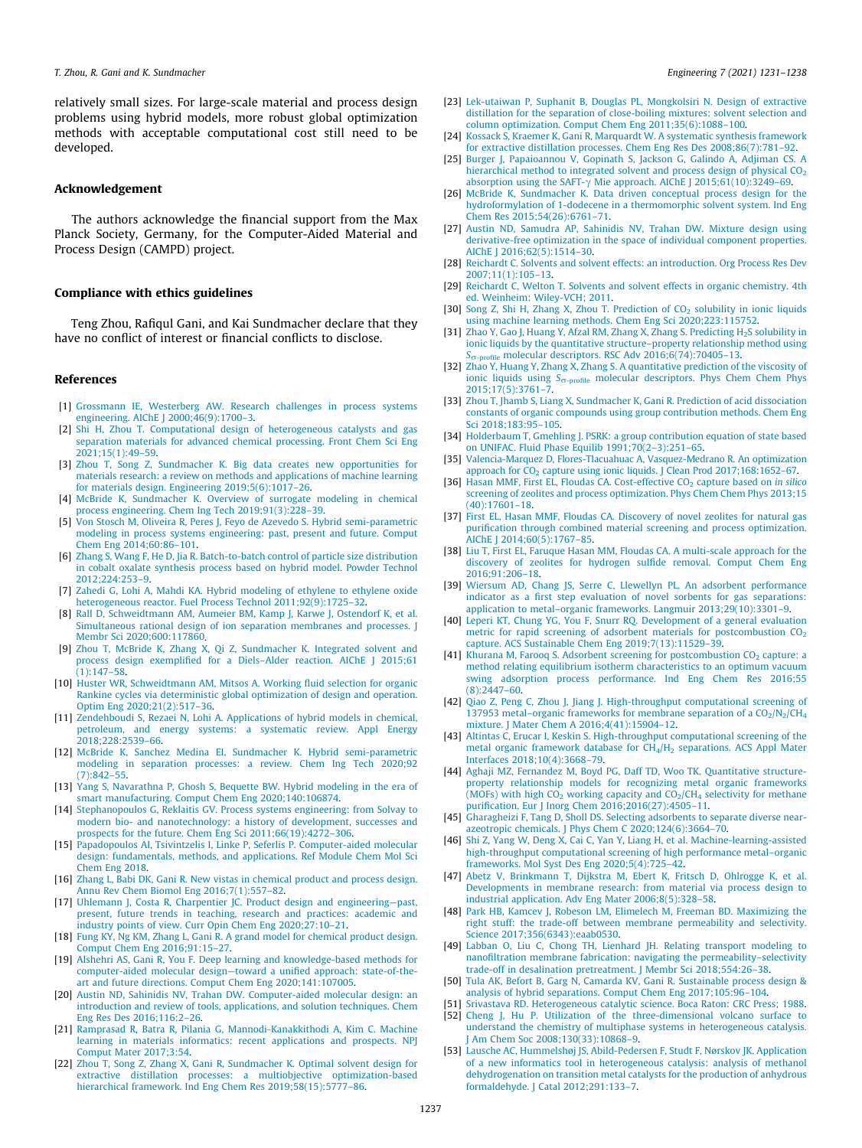<span id="page-6-0"></span>relatively small sizes. For large-scale material and process design problems using hybrid models, more robust global optimization methods with acceptable computational cost still need to be developed.

## Acknowledgement

The authors acknowledge the financial support from the Max Planck Society, Germany, for the Computer-Aided Material and Process Design (CAMPD) project.

## Compliance with ethics guidelines

Teng Zhou, Rafiqul Gani, and Kai Sundmacher declare that they have no conflict of interest or financial conflicts to disclose.

## References

- [1] [Grossmann IE, Westerberg AW. Research challenges in process systems](http://refhub.elsevier.com/S2095-8099(21)00141-7/h0005) [engineering. AIChE J 2000;46\(9\):1700–3](http://refhub.elsevier.com/S2095-8099(21)00141-7/h0005).
- [2] [Shi H, Zhou T. Computational design of heterogeneous catalysts and gas](http://refhub.elsevier.com/S2095-8099(21)00141-7/h0010) [separation materials for advanced chemical processing. Front Chem Sci Eng](http://refhub.elsevier.com/S2095-8099(21)00141-7/h0010)  $2021:15(1):49-59$
- [3] Zhou T, Song Z, Sundmacher K, Big data creates new opportunities for [materials research: a review on methods and applications of machine learning](http://refhub.elsevier.com/S2095-8099(21)00141-7/h0015) [for materials design. Engineering 2019;5\(6\):1017–26](http://refhub.elsevier.com/S2095-8099(21)00141-7/h0015).
- [4] [McBride K, Sundmacher K. Overview of surrogate modeling in chemical](http://refhub.elsevier.com/S2095-8099(21)00141-7/h0020) [process engineering. Chem Ing Tech 2019;91\(3\):228–39](http://refhub.elsevier.com/S2095-8099(21)00141-7/h0020).
- [5] [Von Stosch M, Oliveira R, Peres J, Feyo de Azevedo S. Hybrid semi-parametric](http://refhub.elsevier.com/S2095-8099(21)00141-7/h0025) [modeling in process systems engineering: past, present and future. Comput](http://refhub.elsevier.com/S2095-8099(21)00141-7/h0025) [Chem Eng 2014;60:86–101.](http://refhub.elsevier.com/S2095-8099(21)00141-7/h0025)
- [6] [Zhang S, Wang F, He D, Jia R. Batch-to-batch control of particle size distribution](http://refhub.elsevier.com/S2095-8099(21)00141-7/h0030) [in cobalt oxalate synthesis process based on hybrid model. Powder Technol](http://refhub.elsevier.com/S2095-8099(21)00141-7/h0030) [2012;224:253–9.](http://refhub.elsevier.com/S2095-8099(21)00141-7/h0030)
- [7] [Zahedi G, Lohi A, Mahdi KA. Hybrid modeling of ethylene to ethylene oxide](http://refhub.elsevier.com/S2095-8099(21)00141-7/h0035) [heterogeneous reactor. Fuel Process Technol 2011;92\(9\):1725–32](http://refhub.elsevier.com/S2095-8099(21)00141-7/h0035).
- [8] [Rall D, Schweidtmann AM, Aumeier BM, Kamp J, Karwe J, Ostendorf K, et al.](http://refhub.elsevier.com/S2095-8099(21)00141-7/h0040) [Simultaneous rational design of ion separation membranes and processes. J](http://refhub.elsevier.com/S2095-8099(21)00141-7/h0040) [Membr Sci 2020;600:117860](http://refhub.elsevier.com/S2095-8099(21)00141-7/h0040).
- [9] [Zhou T, McBride K, Zhang X, Qi Z, Sundmacher K. Integrated solvent and](http://refhub.elsevier.com/S2095-8099(21)00141-7/h0045) [process design exemplified for a Diels–Alder reaction. AIChE J 2015;61](http://refhub.elsevier.com/S2095-8099(21)00141-7/h0045)  $(1):147-58.$
- [10] [Huster WR, Schweidtmann AM, Mitsos A. Working fluid selection for organic](http://refhub.elsevier.com/S2095-8099(21)00141-7/h0050) [Rankine cycles via deterministic global optimization of design and operation.](http://refhub.elsevier.com/S2095-8099(21)00141-7/h0050) [Optim Eng 2020;21\(2\):517–36.](http://refhub.elsevier.com/S2095-8099(21)00141-7/h0050)
- [11] [Zendehboudi S, Rezaei N, Lohi A. Applications of hybrid models in chemical,](http://refhub.elsevier.com/S2095-8099(21)00141-7/h0055) [petroleum, and energy systems: a systematic review. Appl Energy](http://refhub.elsevier.com/S2095-8099(21)00141-7/h0055) [2018;228:2539–66](http://refhub.elsevier.com/S2095-8099(21)00141-7/h0055).
- [12] [McBride K, Sanchez Medina EI, Sundmacher K. Hybrid semi-parametric](http://refhub.elsevier.com/S2095-8099(21)00141-7/h0060) [modeling in separation processes: a review. Chem Ing Tech 2020;92](http://refhub.elsevier.com/S2095-8099(21)00141-7/h0060) [\(7\):842–55](http://refhub.elsevier.com/S2095-8099(21)00141-7/h0060).
- [13] [Yang S, Navarathna P, Ghosh S, Bequette BW. Hybrid modeling in the era of](http://refhub.elsevier.com/S2095-8099(21)00141-7/h0065) [smart manufacturing. Comput Chem Eng 2020;140:106874](http://refhub.elsevier.com/S2095-8099(21)00141-7/h0065).
- [14] [Stephanopoulos G, Reklaitis GV. Process systems engineering: from Solvay to](http://refhub.elsevier.com/S2095-8099(21)00141-7/h0070) [modern bio- and nanotechnology: a history of development, successes and](http://refhub.elsevier.com/S2095-8099(21)00141-7/h0070) [prospects for the future. Chem Eng Sci 2011;66\(19\):4272–306](http://refhub.elsevier.com/S2095-8099(21)00141-7/h0070).
- [15] [Papadopoulos AI, Tsivintzelis I, Linke P, Seferlis P. Computer-aided molecular](http://refhub.elsevier.com/S2095-8099(21)00141-7/h0075) [design: fundamentals, methods, and applications. Ref Module Chem Mol Sci](http://refhub.elsevier.com/S2095-8099(21)00141-7/h0075) [Chem Eng 2018](http://refhub.elsevier.com/S2095-8099(21)00141-7/h0075).
- [16] [Zhang L, Babi DK, Gani R. New vistas in chemical product and process design.](http://refhub.elsevier.com/S2095-8099(21)00141-7/h0080) [Annu Rev Chem Biomol Eng 2016;7\(1\):557–82](http://refhub.elsevier.com/S2095-8099(21)00141-7/h0080).
- [17] [Uhlemann J, Costa R, Charpentier JC. Product design and engineering—past,](http://refhub.elsevier.com/S2095-8099(21)00141-7/h0085) [present, future trends in teaching, research and practices: academic and](http://refhub.elsevier.com/S2095-8099(21)00141-7/h0085) [industry points of view. Curr Opin Chem Eng 2020;27:10–21](http://refhub.elsevier.com/S2095-8099(21)00141-7/h0085).
- [18] [Fung KY, Ng KM, Zhang L, Gani R. A grand model for chemical product design.](http://refhub.elsevier.com/S2095-8099(21)00141-7/h0090) [Comput Chem Eng 2016;91:15–27.](http://refhub.elsevier.com/S2095-8099(21)00141-7/h0090)
- [19] [Alshehri AS, Gani R, You F. Deep learning and knowledge-based methods for](http://refhub.elsevier.com/S2095-8099(21)00141-7/h0095) [computer-aided molecular design—toward a unified approach: state-of-the](http://refhub.elsevier.com/S2095-8099(21)00141-7/h0095)[art and future directions. Comput Chem Eng 2020;141:107005.](http://refhub.elsevier.com/S2095-8099(21)00141-7/h0095)
- [20] [Austin ND, Sahinidis NV, Trahan DW. Computer-aided molecular design: an](http://refhub.elsevier.com/S2095-8099(21)00141-7/h0100) [introduction and review of tools, applications, and solution techniques. Chem](http://refhub.elsevier.com/S2095-8099(21)00141-7/h0100) [Eng Res Des 2016;116:2–26.](http://refhub.elsevier.com/S2095-8099(21)00141-7/h0100)
- [21] [Ramprasad R, Batra R, Pilania G, Mannodi-Kanakkithodi A, Kim C. Machine](http://refhub.elsevier.com/S2095-8099(21)00141-7/h0105) [learning in materials informatics: recent applications and prospects. NPJ](http://refhub.elsevier.com/S2095-8099(21)00141-7/h0105) [Comput Mater 2017;3:54.](http://refhub.elsevier.com/S2095-8099(21)00141-7/h0105)
- [22] [Zhou T, Song Z, Zhang X, Gani R, Sundmacher K. Optimal solvent design for](http://refhub.elsevier.com/S2095-8099(21)00141-7/h0110) [extractive distillation processes: a multiobjective optimization-based](http://refhub.elsevier.com/S2095-8099(21)00141-7/h0110) [hierarchical framework. Ind Eng Chem Res 2019;58\(15\):5777–86.](http://refhub.elsevier.com/S2095-8099(21)00141-7/h0110)
- [23] [Lek-utaiwan P, Suphanit B, Douglas PL, Mongkolsiri N. Design of extractive](http://refhub.elsevier.com/S2095-8099(21)00141-7/h0115) [distillation for the separation of close-boiling mixtures: solvent selection and](http://refhub.elsevier.com/S2095-8099(21)00141-7/h0115) [column optimization. Comput Chem Eng 2011;35\(6\):1088–100.](http://refhub.elsevier.com/S2095-8099(21)00141-7/h0115)
- [24] [Kossack S, Kraemer K, Gani R, Marquardt W. A systematic synthesis framework](http://refhub.elsevier.com/S2095-8099(21)00141-7/h0120) [for extractive distillation processes. Chem Eng Res Des 2008;86\(7\):781–92.](http://refhub.elsevier.com/S2095-8099(21)00141-7/h0120)
- [25] [Burger J, Papaioannou V, Gopinath S, Jackson G, Galindo A, Adjiman CS. A](http://refhub.elsevier.com/S2095-8099(21)00141-7/h0125) hierarchical method to integrated solvent and process design of physical  $CO<sub>2</sub>$ absorption using the SAFT- $\gamma$  [Mie approach. AIChE J 2015;61\(10\):3249–69.](http://refhub.elsevier.com/S2095-8099(21)00141-7/h0125)
- [26] [McBride K, Sundmacher K. Data driven conceptual process design for the](http://refhub.elsevier.com/S2095-8099(21)00141-7/h0130) [hydroformylation of 1-dodecene in a thermomorphic solvent system. Ind Eng](http://refhub.elsevier.com/S2095-8099(21)00141-7/h0130) [Chem Res 2015;54\(26\):6761–71.](http://refhub.elsevier.com/S2095-8099(21)00141-7/h0130)
- [27] [Austin ND, Samudra AP, Sahinidis NV, Trahan DW. Mixture design using](http://refhub.elsevier.com/S2095-8099(21)00141-7/h0135) [derivative-free optimization in the space of individual component properties.](http://refhub.elsevier.com/S2095-8099(21)00141-7/h0135) [AIChE J 2016;62\(5\):1514–30](http://refhub.elsevier.com/S2095-8099(21)00141-7/h0135).
- [28] [Reichardt C. Solvents and solvent effects: an introduction. Org Process Res Dev](http://refhub.elsevier.com/S2095-8099(21)00141-7/h0140) [2007;11\(1\):105–13](http://refhub.elsevier.com/S2095-8099(21)00141-7/h0140).
- [29] [Reichardt C, Welton T. Solvents and solvent effects in organic chemistry. 4th](http://refhub.elsevier.com/S2095-8099(21)00141-7/h0145) [ed. Weinheim: Wiley-VCH; 2011](http://refhub.elsevier.com/S2095-8099(21)00141-7/h0145).
- [30] Song Z, Shi H, Zhang X, Zhou T. Prediction of  $CO<sub>2</sub>$  [solubility in ionic liquids](http://refhub.elsevier.com/S2095-8099(21)00141-7/h0150) [using machine learning methods. Chem Eng Sci 2020;223:115752](http://refhub.elsevier.com/S2095-8099(21)00141-7/h0150).
- [31] Zhao Y, Gao J, Huang Y, Afzal RM, Zhang X, Zhang S. Predicting H<sub>2</sub>S solubility in [ionic liquids by the quantitative structure–property relationship method using](http://refhub.elsevier.com/S2095-8099(21)00141-7/h0155)  $S_{\sigma\text{-profile}}$  $S_{\sigma\text{-profile}}$  $S_{\sigma\text{-profile}}$  [molecular descriptors. RSC Adv 2016;6\(74\):70405–13](http://refhub.elsevier.com/S2095-8099(21)00141-7/h0155).
- [32] [Zhao Y, Huang Y, Zhang X, Zhang S. A quantitative prediction of the viscosity of](http://refhub.elsevier.com/S2095-8099(21)00141-7/h0160) [ionic liquids using](http://refhub.elsevier.com/S2095-8099(21)00141-7/h0160)  $S_{\sigma\text{-profile}}$  [molecular descriptors. Phys Chem Chem Phys](http://refhub.elsevier.com/S2095-8099(21)00141-7/h0160) [2015;17\(5\):3761–7](http://refhub.elsevier.com/S2095-8099(21)00141-7/h0160).
- [33] [Zhou T, Jhamb S, Liang X, Sundmacher K, Gani R. Prediction of acid dissociation](http://refhub.elsevier.com/S2095-8099(21)00141-7/h0165) [constants of organic compounds using group contribution methods. Chem Eng](http://refhub.elsevier.com/S2095-8099(21)00141-7/h0165) [Sci 2018;183:95–105.](http://refhub.elsevier.com/S2095-8099(21)00141-7/h0165)
- [34] [Holderbaum T, Gmehling J. PSRK: a group contribution equation of state based](http://refhub.elsevier.com/S2095-8099(21)00141-7/h0170) [on UNIFAC. Fluid Phase Equilib 1991;70\(2–3\):251–65.](http://refhub.elsevier.com/S2095-8099(21)00141-7/h0170)
- [35] [Valencia-Marquez D, Flores-Tlacuahuac A, Vasquez-Medrano R. An optimization](http://refhub.elsevier.com/S2095-8099(21)00141-7/h0175) approach for  $CO<sub>2</sub>$  [capture using ionic liquids. J Clean Prod 2017;168:1652–67.](http://refhub.elsevier.com/S2095-8099(21)00141-7/h0175)
- [36] Hasan MMF, First EL, Floudas CA. Cost-effective CO<sub>2</sub> [capture based on](http://refhub.elsevier.com/S2095-8099(21)00141-7/h0180) in silico [screening of zeolites and process optimization. Phys Chem Chem Phys 2013;15](http://refhub.elsevier.com/S2095-8099(21)00141-7/h0180) [\(40\):17601–18](http://refhub.elsevier.com/S2095-8099(21)00141-7/h0180).
- [37] [First EL, Hasan MMF, Floudas CA. Discovery of novel zeolites for natural gas](http://refhub.elsevier.com/S2095-8099(21)00141-7/h0185) [purification through combined material screening and process optimization.](http://refhub.elsevier.com/S2095-8099(21)00141-7/h0185) [AIChE J 2014;60\(5\):1767–85](http://refhub.elsevier.com/S2095-8099(21)00141-7/h0185).
- [38] [Liu T, First EL, Faruque Hasan MM, Floudas CA. A multi-scale approach for the](http://refhub.elsevier.com/S2095-8099(21)00141-7/h0190) [discovery of zeolites for hydrogen sulfide removal. Comput Chem Eng](http://refhub.elsevier.com/S2095-8099(21)00141-7/h0190) [2016;91:206–18](http://refhub.elsevier.com/S2095-8099(21)00141-7/h0190).
- [39] [Wiersum AD, Chang JS, Serre C, Llewellyn PL. An adsorbent performance](http://refhub.elsevier.com/S2095-8099(21)00141-7/h0195) [indicator as a first step evaluation of novel sorbents for gas separations:](http://refhub.elsevier.com/S2095-8099(21)00141-7/h0195) [application to metal–organic frameworks. Langmuir 2013;29\(10\):3301–9](http://refhub.elsevier.com/S2095-8099(21)00141-7/h0195).
- [40] [Leperi KT, Chung YG, You F, Snurr RQ. Development of a general evaluation](http://refhub.elsevier.com/S2095-8099(21)00141-7/h0200) metric for rapid screening of adsorbent materials for postcombustion  $CO<sub>2</sub>$ [capture. ACS Sustainable Chem Eng 2019;7\(13\):11529–39.](http://refhub.elsevier.com/S2095-8099(21)00141-7/h0200)
- [41] Khurana M, Farooq S. Adsorbent screening for postcombustion  $CO<sub>2</sub>$  [capture: a](http://refhub.elsevier.com/S2095-8099(21)00141-7/h0205) [method relating equilibrium isotherm characteristics to an optimum vacuum](http://refhub.elsevier.com/S2095-8099(21)00141-7/h0205) [swing adsorption process performance. Ind Eng Chem Res 2016;55](http://refhub.elsevier.com/S2095-8099(21)00141-7/h0205)  $(8) \cdot 2447 - 60$
- [42] [Qiao Z, Peng C, Zhou J, Jiang J. High-throughput computational screening of](http://refhub.elsevier.com/S2095-8099(21)00141-7/h0210) 137953 metal–organic frameworks for membrane separation of a  $CO<sub>2</sub>/N<sub>2</sub>/CH<sub>4</sub>$ [mixture. J Mater Chem A 2016;4\(41\):15904–12.](http://refhub.elsevier.com/S2095-8099(21)00141-7/h0210)
- [43] [Altintas C, Erucar I, Keskin S. High-throughput computational screening of the](http://refhub.elsevier.com/S2095-8099(21)00141-7/h0215) metal organic framework database for CH<sub>4</sub>/H<sub>2</sub> [separations. ACS Appl Mater](http://refhub.elsevier.com/S2095-8099(21)00141-7/h0215) [Interfaces 2018;10\(4\):3668–79.](http://refhub.elsevier.com/S2095-8099(21)00141-7/h0215)
- [44] [Aghaji MZ, Fernandez M, Boyd PG, Daff TD, Woo TK. Quantitative structure](http://refhub.elsevier.com/S2095-8099(21)00141-7/h0220)[property relationship models for recognizing metal organic frameworks](http://refhub.elsevier.com/S2095-8099(21)00141-7/h0220) (MOFs) with high  $CO<sub>2</sub>$  working capacity and  $CO<sub>2</sub>/CH<sub>4</sub>$  [selectivity for methane](http://refhub.elsevier.com/S2095-8099(21)00141-7/h0220) [purification. Eur J Inorg Chem 2016;2016\(27\):4505–11](http://refhub.elsevier.com/S2095-8099(21)00141-7/h0220).
- [45] [Gharagheizi F, Tang D, Sholl DS. Selecting adsorbents to separate diverse near](http://refhub.elsevier.com/S2095-8099(21)00141-7/h0225)[azeotropic chemicals. J Phys Chem C 2020;124\(6\):3664–70](http://refhub.elsevier.com/S2095-8099(21)00141-7/h0225).
- [46] [Shi Z, Yang W, Deng X, Cai C, Yan Y, Liang H, et al. Machine-learning-assisted](http://refhub.elsevier.com/S2095-8099(21)00141-7/h0230) [high-throughput computational screening of high performance metal–organic](http://refhub.elsevier.com/S2095-8099(21)00141-7/h0230) [frameworks. Mol Syst Des Eng 2020;5\(4\):725–42](http://refhub.elsevier.com/S2095-8099(21)00141-7/h0230).
- [47] [Abetz V, Brinkmann T, Dijkstra M, Ebert K, Fritsch D, Ohlrogge K, et al.](http://refhub.elsevier.com/S2095-8099(21)00141-7/h0235) [Developments in membrane research: from material via process design to](http://refhub.elsevier.com/S2095-8099(21)00141-7/h0235) [industrial application. Adv Eng Mater 2006;8\(5\):328–58](http://refhub.elsevier.com/S2095-8099(21)00141-7/h0235).
- [48] [Park HB, Kamcev J, Robeson LM, Elimelech M, Freeman BD. Maximizing the](http://refhub.elsevier.com/S2095-8099(21)00141-7/h0240) [right stuff: the trade-off between membrane permeability and selectivity.](http://refhub.elsevier.com/S2095-8099(21)00141-7/h0240) [Science 2017;356\(6343\):eaab0530](http://refhub.elsevier.com/S2095-8099(21)00141-7/h0240).
- [49] [Labban O, Liu C, Chong TH, Lienhard JH. Relating transport modeling to](http://refhub.elsevier.com/S2095-8099(21)00141-7/h0245) [nanofiltration membrane fabrication: navigating the permeability–selectivity](http://refhub.elsevier.com/S2095-8099(21)00141-7/h0245) [trade-off in desalination pretreatment. J Membr Sci 2018;554:26–38](http://refhub.elsevier.com/S2095-8099(21)00141-7/h0245).
- [50] [Tula AK, Befort B, Garg N, Camarda KV, Gani R. Sustainable process design &](http://refhub.elsevier.com/S2095-8099(21)00141-7/h0250) [analysis of hybrid separations. Comput Chem Eng 2017;105:96–104.](http://refhub.elsevier.com/S2095-8099(21)00141-7/h0250)
- [51] [Srivastava RD. Heterogeneous catalytic science. Boca Raton: CRC Press; 1988.](http://refhub.elsevier.com/S2095-8099(21)00141-7/h0255)
- [52] [Cheng J, Hu P. Utilization of the three-dimensional volcano surface to](http://refhub.elsevier.com/S2095-8099(21)00141-7/h0260) [understand the chemistry of multiphase systems in heterogeneous catalysis.](http://refhub.elsevier.com/S2095-8099(21)00141-7/h0260) [J Am Chem Soc 2008;130\(33\):10868–9.](http://refhub.elsevier.com/S2095-8099(21)00141-7/h0260)
- [53] [Lausche AC, Hummelshøj JS, Abild-Pedersen F, Studt F, Nørskov JK. Application](http://refhub.elsevier.com/S2095-8099(21)00141-7/h0265) [of a new informatics tool in heterogeneous catalysis: analysis of methanol](http://refhub.elsevier.com/S2095-8099(21)00141-7/h0265) [dehydrogenation on transition metal catalysts for the production of anhydrous](http://refhub.elsevier.com/S2095-8099(21)00141-7/h0265) [formaldehyde. J Catal 2012;291:133–7.](http://refhub.elsevier.com/S2095-8099(21)00141-7/h0265)